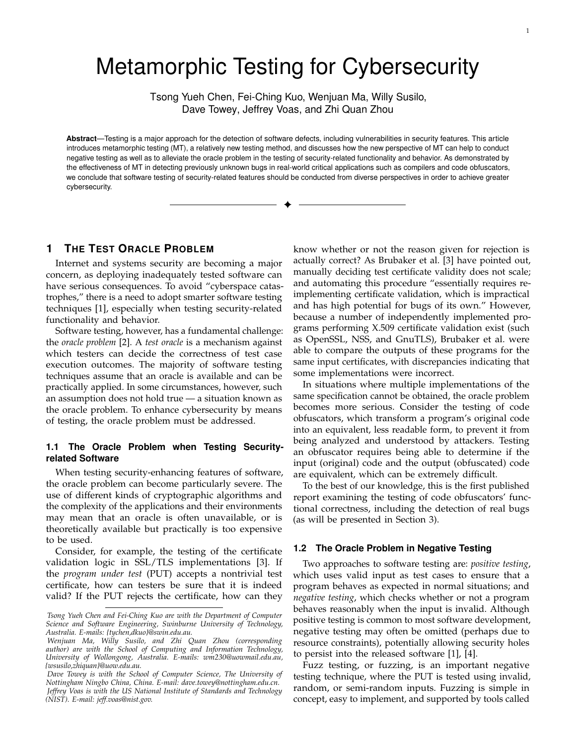# Metamorphic Testing for Cybersecurity

Tsong Yueh Chen, Fei-Ching Kuo, Wenjuan Ma, Willy Susilo, Dave Towey, Jeffrey Voas, and Zhi Quan Zhou

**Abstract**—Testing is a major approach for the detection of software defects, including vulnerabilities in security features. This article introduces metamorphic testing (MT), a relatively new testing method, and discusses how the new perspective of MT can help to conduct negative testing as well as to alleviate the oracle problem in the testing of security-related functionality and behavior. As demonstrated by the effectiveness of MT in detecting previously unknown bugs in real-world critical applications such as compilers and code obfuscators, we conclude that software testing of security-related features should be conducted from diverse perspectives in order to achieve greater cybersecurity.

 $\ddotmark$ 

# **1 THE TEST ORACLE PROBLEM**

Internet and systems security are becoming a major concern, as deploying inadequately tested software can have serious consequences. To avoid "cyberspace catastrophes," there is a need to adopt smarter software testing techniques [1], especially when testing security-related functionality and behavior.

Software testing, however, has a fundamental challenge: the *oracle problem* [2]. A *test oracle* is a mechanism against which testers can decide the correctness of test case execution outcomes. The majority of software testing techniques assume that an oracle is available and can be practically applied. In some circumstances, however, such an assumption does not hold true — a situation known as the oracle problem. To enhance cybersecurity by means of testing, the oracle problem must be addressed.

# **1.1 The Oracle Problem when Testing Securityrelated Software**

When testing security-enhancing features of software, the oracle problem can become particularly severe. The use of different kinds of cryptographic algorithms and the complexity of the applications and their environments may mean that an oracle is often unavailable, or is theoretically available but practically is too expensive to be used.

Consider, for example, the testing of the certificate validation logic in SSL/TLS implementations [3]. If the *program under test* (PUT) accepts a nontrivial test certificate, how can testers be sure that it is indeed valid? If the PUT rejects the certificate, how can they

know whether or not the reason given for rejection is actually correct? As Brubaker et al. [3] have pointed out, manually deciding test certificate validity does not scale; and automating this procedure "essentially requires reimplementing certificate validation, which is impractical and has high potential for bugs of its own." However, because a number of independently implemented programs performing X.509 certificate validation exist (such as OpenSSL, NSS, and GnuTLS), Brubaker et al. were able to compare the outputs of these programs for the same input certificates, with discrepancies indicating that some implementations were incorrect.

In situations where multiple implementations of the same specification cannot be obtained, the oracle problem becomes more serious. Consider the testing of code obfuscators, which transform a program's original code into an equivalent, less readable form, to prevent it from being analyzed and understood by attackers. Testing an obfuscator requires being able to determine if the input (original) code and the output (obfuscated) code are equivalent, which can be extremely difficult.

To the best of our knowledge, this is the first published report examining the testing of code obfuscators' functional correctness, including the detection of real bugs (as will be presented in Section 3).

#### **1.2 The Oracle Problem in Negative Testing**

Two approaches to software testing are: *positive testing*, which uses valid input as test cases to ensure that a program behaves as expected in normal situations; and *negative testing*, which checks whether or not a program behaves reasonably when the input is invalid. Although positive testing is common to most software development, negative testing may often be omitted (perhaps due to resource constraints), potentially allowing security holes to persist into the released software [1], [4].

Fuzz testing, or fuzzing, is an important negative testing technique, where the PUT is tested using invalid, random, or semi-random inputs. Fuzzing is simple in concept, easy to implement, and supported by tools called

*Tsong Yueh Chen and Fei-Ching Kuo are with the Department of Computer Science and Software Engineering, Swinburne University of Technology, Australia. E-mails: {tychen,dkuo}@swin.edu.au.* 

*Wenjuan Ma, Willy Susilo, and Zhi Quan Zhou (corresponding author) are with the School of Computing and Information Technology, University of Wollongong, Australia. E-mails: wm230@uowmail.edu.au, {wsusilo,zhiquan}@uow.edu.au.* 

*Dave Towey is with the School of Computer Science, The University of Nottingham Ningbo China, China. E-mail: dave.towey@nottingham.edu.cn. Jeffrey Voas is with the US National Institute of Standards and Technology (NIST). E-mail: jeff.voas@nist.gov.*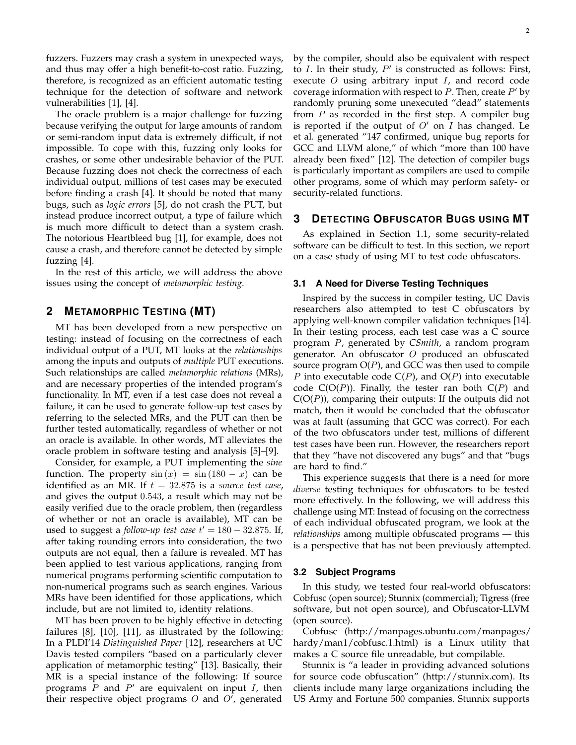fuzzers. Fuzzers may crash a system in unexpected ways, and thus may offer a high benefit-to-cost ratio. Fuzzing, therefore, is recognized as an efficient automatic testing technique for the detection of software and network vulnerabilities [1], [4].

The oracle problem is a major challenge for fuzzing because verifying the output for large amounts of random or semi-random input data is extremely difficult, if not impossible. To cope with this, fuzzing only looks for crashes, or some other undesirable behavior of the PUT. Because fuzzing does not check the correctness of each individual output, millions of test cases may be executed before finding a crash [4]. It should be noted that many bugs, such as *logic errors* [5], do not crash the PUT, but instead produce incorrect output, a type of failure which is much more difficult to detect than a system crash. The notorious Heartbleed bug [1], for example, does not cause a crash, and therefore cannot be detected by simple fuzzing [4].

In the rest of this article, we will address the above issues using the concept of *metamorphic testing*.

# **2 METAMORPHIC TESTING (MT)**

MT has been developed from a new perspective on testing: instead of focusing on the correctness of each individual output of a PUT, MT looks at the *relationships*  among the inputs and outputs of *multiple* PUT executions. Such relationships are called *metamorphic relations* (MRs), and are necessary properties of the intended program's functionality. In MT, even if a test case does not reveal a failure, it can be used to generate follow-up test cases by referring to the selected MRs, and the PUT can then be further tested automatically, regardless of whether or not an oracle is available. In other words, MT alleviates the oracle problem in software testing and analysis [5]–[9].

Consider, for example, a PUT implementing the *sine*  function. The property  $sin(x) = sin(180 - x)$  can be identified as an MR. If  $t = 32.875$  is a *source test case*, and gives the output 0.543, a result which may not be easily verified due to the oracle problem, then (regardless of whether or not an oracle is available), MT can be used to suggest a *follow-up test case*  $t' = 180 - 32.875$ . If, after taking rounding errors into consideration, the two outputs are not equal, then a failure is revealed. MT has been applied to test various applications, ranging from numerical programs performing scientific computation to non-numerical programs such as search engines. Various MRs have been identified for those applications, which include, but are not limited to, identity relations.

MT has been proven to be highly effective in detecting failures [8], [10], [11], as illustrated by the following: In a PLDI'14 *Distinguished Paper* [12], researchers at UC Davis tested compilers "based on a particularly clever application of metamorphic testing" [13]. Basically, their MR is a special instance of the following: If source programs  $P$  and  $P'$  are equivalent on input  $I$ , then their respective object programs  $O$  and  $O'$ , generated by the compiler, should also be equivalent with respect to  $I$ . In their study,  $P'$  is constructed as follows: First, execute  $O$  using arbitrary input  $I$ , and record code coverage information with respect to  $P$ . Then, create  $P'$  by randomly pruning some unexecuted "dead" statements from  $P$  as recorded in the first step. A compiler bug is reported if the output of  $O'$  on I has changed. Le et al. generated "147 confirmed, unique bug reports for GCC and LLVM alone," of which "more than 100 have already been fixed" [12]. The detection of compiler bugs is particularly important as compilers are used to compile other programs, some of which may perform safety- or security-related functions.

## **3 DETECTING OBFUSCATOR BUGS USING MT**

As explained in Section 1.1, some security-related software can be difficult to test. In this section, we report on a case study of using MT to test code obfuscators.

#### **3.1 A Need for Diverse Testing Techniques**

Inspired by the success in compiler testing, UC Davis researchers also attempted to test C obfuscators by applying well-known compiler validation techniques [14]. In their testing process, each test case was a C source program P, generated by *CSmith*, a random program generator. An obfuscator O produced an obfuscated source program  $O(P)$ , and GCC was then used to compile P into executable code  $C(P)$ , and  $O(P)$  into executable code  $C(O(P))$ . Finally, the tester ran both  $C(P)$  and  $C(O(P))$ , comparing their outputs: If the outputs did not match, then it would be concluded that the obfuscator was at fault (assuming that GCC was correct). For each of the two obfuscators under test, millions of different test cases have been run. However, the researchers report that they "have not discovered any bugs" and that "bugs are hard to find."

This experience suggests that there is a need for more *diverse* testing techniques for obfuscators to be tested more effectively. In the following, we will address this challenge using MT: Instead of focusing on the correctness of each individual obfuscated program, we look at the *relationships* among multiple obfuscated programs — this is a perspective that has not been previously attempted.

#### **3.2 Subject Programs**

In this study, we tested four real-world obfuscators: Cobfusc (open source); Stunnix (commercial); Tigress (free software, but not open source), and Obfuscator-LLVM (open source).

Cobfusc (http://manpages.ubuntu.com/manpages/ hardy/man1/cobfusc.1.html) is a Linux utility that makes a C source file unreadable, but compilable.

Stunnix is "a leader in providing advanced solutions for source code obfuscation" (http://stunnix.com). Its clients include many large organizations including the US Army and Fortune 500 companies. Stunnix supports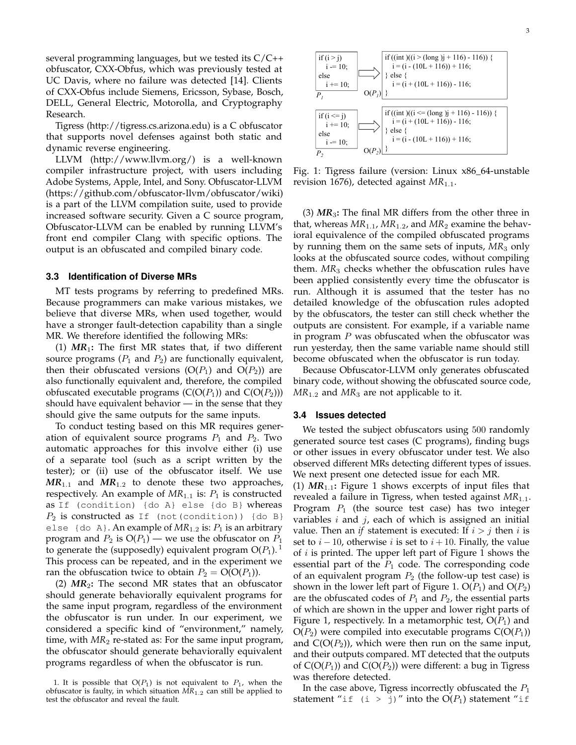several programming languages, but we tested its C/C++ obfuscator, CXX-Obfus, which was previously tested at UC Davis, where no failure was detected [14]. Clients of CXX-Obfus include Siemens, Ericsson, Sybase, Bosch, DELL, General Electric, Motorolla, and Cryptography Research.

Tigress (http://tigress.cs.arizona.edu) is a C obfuscator that supports novel defenses against both static and dynamic reverse engineering.

LLVM (http://www.llvm.org/) is a well-known compiler infrastructure project, with users including Adobe Systems, Apple, Intel, and Sony. Obfuscator-LLVM (https://github.com/obfuscator-llvm/obfuscator/wiki) is a part of the LLVM compilation suite, used to provide increased software security. Given a C source program, Obfuscator-LLVM can be enabled by running LLVM's front end compiler Clang with specific options. The output is an obfuscated and compiled binary code.

#### **3.3 Identification of Diverse MRs**

MT tests programs by referring to predefined MRs. Because programmers can make various mistakes, we believe that diverse MRs, when used together, would have a stronger fault-detection capability than a single MR. We therefore identified the following MRs:

(1)  $MR_1$ : The first MR states that, if two different source programs ( $P_1$  and  $P_2$ ) are functionally equivalent, then their obfuscated versions  $(O(P_1)$  and  $O(P_2))$  are also functionally equivalent and, therefore, the compiled obfuscated executable programs  $(C(O(P_1))$  and  $C(O(P_2)))$ should have equivalent behavior — in the sense that they should give the same outputs for the same inputs.

To conduct testing based on this MR requires generation of equivalent source programs  $P_1$  and  $P_2$ . Two automatic approaches for this involve either (i) use of a separate tool (such as a script written by the tester); or (ii) use of the obfuscator itself. We use  $MR_{1,1}$  and  $MR_{1,2}$  to denote these two approaches, respectively. An example of  $MR_{1.1}$  is:  $P_1$  is constructed as If (condition) {do A} else {do B} whereas  $P_2$  is constructed as If (not(condition)) {do B} else {do A}. An example of  $MR_{1.2}$  is:  $P_1$  is an arbitrary program and  $P_2$  is  $O(P_1)$  — we use the obfuscator on  $P_1$ to generate the (supposedly) equivalent program  $O(P_1)$ .<sup>1</sup> This process can be repeated, and in the experiment we ran the obfuscation twice to obtain  $P_2 = O(O(P_1))$ .

(2) *MR*2**:** The second MR states that an obfuscator should generate behaviorally equivalent programs for the same input program, regardless of the environment the obfuscator is run under. In our experiment, we considered a specific kind of "environment," namely, time, with  $MR_2$  re-stated as: For the same input program, the obfuscator should generate behaviorally equivalent programs regardless of when the obfuscator is run.



Fig. 1: Tigress failure (version: Linux x86\_64-unstable revision 1676), detected against *MR*1.1.

(3) *MR*3**:** The final MR differs from the other three in that, whereas  $MR_{1.1}$ ,  $MR_{1.2}$ , and  $MR_2$  examine the behavioral equivalence of the compiled obfuscated programs by running them on the same sets of inputs,  $MR_3$  only looks at the obfuscated source codes, without compiling them. *MR*<sup>3</sup> checks whether the obfuscation rules have been applied consistently every time the obfuscator is run. Although it is assumed that the tester has no detailed knowledge of the obfuscation rules adopted by the obfuscators, the tester can still check whether the outputs are consistent. For example, if a variable name in program  $P$  was obfuscated when the obfuscator was run yesterday, then the same variable name should still become obfuscated when the obfuscator is run today.

Because Obfuscator-LLVM only generates obfuscated binary code, without showing the obfuscated source code,  $MR_{1.2}$  and  $MR_3$  are not applicable to it.

#### **3.4 Issues detected**

We tested the subject obfuscators using 500 randomly generated source test cases (C programs), finding bugs or other issues in every obfuscator under test. We also observed different MRs detecting different types of issues. We next present one detected issue for each MR.

(1)  $MR_{1,1}$ : Figure 1 shows excerpts of input files that revealed a failure in Tigress, when tested against *MR*1.1. Program  $P_1$  (the source test case) has two integer variables  $i$  and  $j$ , each of which is assigned an initial value. Then an *if* statement is executed: If  $i > j$  then *i* is set to  $i - 10$ , otherwise i is set to  $i + 10$ . Finally, the value of  $i$  is printed. The upper left part of Figure 1 shows the essential part of the  $P_1$  code. The corresponding code of an equivalent program  $P_2$  (the follow-up test case) is shown in the lower left part of Figure 1.  $O(P_1)$  and  $O(P_2)$ are the obfuscated codes of  $P_1$  and  $P_2$ , the essential parts of which are shown in the upper and lower right parts of Figure 1, respectively. In a metamorphic test,  $O(P_1)$  and  $O(P_2)$  were compiled into executable programs  $C(O(P_1))$ and  $C(O(P_2))$ , which were then run on the same input, and their outputs compared. MT detected that the outputs of  $C(O(P_1))$  and  $C(O(P_2))$  were different: a bug in Tigress was therefore detected.

In the case above, Tigress incorrectly obfuscated the  $P_1$ statement "if (i > j)" into the  $O(P_1)$  statement "if

<sup>1.</sup> It is possible that  $O(P_1)$  is not equivalent to  $P_1$ , when the obfuscator is faulty, in which situation *MR*1.2 can still be applied to test the obfuscator and reveal the fault.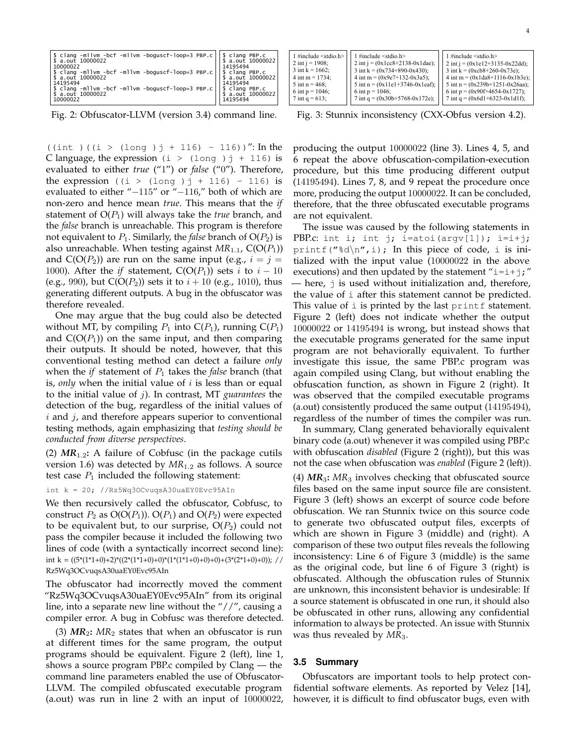| 10000022                                                                                                                                                                                                                                                   | 14195494                      |
|------------------------------------------------------------------------------------------------------------------------------------------------------------------------------------------------------------------------------------------------------------|-------------------------------|
| \$ clang -mllvm -bcf -mllvm -boguscf-loop=3 PBP.c     \$ clang PBP.c                                                                                                                                                                                       |                               |
| \$ a.out 10000022<br>14195494                                                                                                                                                                                                                              | \$ a.out 10000022<br>14195494 |
|                                                                                                                                                                                                                                                            |                               |
| $\left \begin{array}{cc} \text{s} & \text{clang -m1vm} \\ \text{s} & \text{a.out 10000022} \end{array}\right $ -milom -boguscf-loop=3 PBP.c $\left \begin{array}{cc} \text{s} & \text{clang PBP.c} \\ \text{s} & \text{a.out 10000022} \end{array}\right $ |                               |
|                                                                                                                                                                                                                                                            |                               |
| 10000022                                                                                                                                                                                                                                                   | 14195494                      |

Fig. 2: Obfuscator-LLVM (version 3.4) command line.

((int )((i > (long )  $j + 116$ ) - 116))": In the C language, the expression  $(i > (long)j + 116)$  is evaluated to either *true* ("1") or *false* ("0"). Therefore, the expression ((i > (long )  $j + 116$ ) - 116) is evaluated to either "−115" or "−116," both of which are non-zero and hence mean *true*. This means that the *if*  statement of  $O(P_1)$  will always take the *true* branch, and the *false* branch is unreachable. This program is therefore not equivalent to  $P_1$ . Similarly, the *false* branch of  $O(P_2)$  is also unreachable. When testing against  $MR_{1.1}$ ,  $C(O(P_1))$ and  $C(O(P_2))$  are run on the same input (e.g.,  $i = j = j$ 1000). After the *if* statement,  $C(O(P_1))$  sets *i* to *i* – 10 (e.g., 990), but  $C(O(P_2))$  sets it to  $i + 10$  (e.g., 1010), thus generating different outputs. A bug in the obfuscator was therefore revealed.

One may argue that the bug could also be detected without MT, by compiling  $P_1$  into  $C(P_1)$ , running  $C(P_1)$ and  $C(O(P_1))$  on the same input, and then comparing their outputs. It should be noted, however, that this conventional testing method can detect a failure *only*  when the *if* statement of  $P_1$  takes the *false* branch (that is, *only* when the initial value of  $i$  is less than or equal to the initial value of j). In contrast, MT *guarantees* the detection of the bug, regardless of the initial values of  $i$  and  $j$ , and therefore appears superior to conventional testing methods, again emphasizing that *testing should be conducted from diverse perspectives*.

(2)  $MR_{1,2}$ : A failure of Cobfusc (in the package cutils version 1.6) was detected by *MR*1.<sup>2</sup> as follows. A source test case  $P_1$  included the following statement:

int  $k = 20$ ; //Rz5Wq3OCvuqsA30uaEY0Evc95AIn

We then recursively called the obfuscator, Cobfusc, to construct  $P_2$  as  $O(O(P_1))$ .  $O(P_1)$  and  $O(P_2)$  were expected to be equivalent but, to our surprise,  $O(P_2)$  could not pass the compiler because it included the following two lines of code (with a syntactically incorrect second line): int k =  $((5*(1*1+0)+2)*((2*(1*1+0)+0)*(1*(1*1+0)+0)+0)*(3*(2*1+0)+0));$  // Rz5Wq3OCvuqsA30uaEY0Evc95AIn

The obfuscator had incorrectly moved the comment "Rz5Wq3OCvuqsA30uaEY0Evc95AIn" from its original line, into a separate new line without the "//", causing a compiler error. A bug in Cobfusc was therefore detected.

(3)  $MR_2$ :  $MR_2$  states that when an obfuscator is run at different times for the same program, the output programs should be equivalent. Figure 2 (left), line 1, shows a source program PBP.c compiled by Clang — the command line parameters enabled the use of Obfuscator-LLVM. The compiled obfuscated executable program (a.out) was run in line 2 with an input of 10000022,

| 1 #include $\le$ stdio.h><br>2 int $i = 1908$ ;<br>3 int $k = 1662$ ;<br>$4 \text{ int } m = 1734$ ;<br>5 int $n = 468$ :<br>6 int $p = 1046$ ; | 1 #include $\le$ stdio.h><br>2 int j = $(0x1cc8+2138-0x1dae)$ ;<br>3 int k = $(0x734+890-0x430)$ ;<br>4 int m = $(0x9e7+132-0x3a5);$<br>5 int n = $(0x11e1+3746-0x1eaf);$<br>6 int $p = 1046$ ; | $1$ #include $\le$ stdio.h><br>2 int j = $(0x1e12+3135-0x22dd)$ ;<br>3 int k = $(0xcb8+260-0x73e)$ ;<br>4 int m = $(0x1da8+1116-0x1b3e)$ ;<br>5 int n = $(0x239b+1251-0x26aa)$ ;<br>6 int $p = (0x90f+4654-0x1727);$ |
|-------------------------------------------------------------------------------------------------------------------------------------------------|-------------------------------------------------------------------------------------------------------------------------------------------------------------------------------------------------|----------------------------------------------------------------------------------------------------------------------------------------------------------------------------------------------------------------------|
| 7 int $q = 613$ ;                                                                                                                               | 7 int q = $(0x30b+5768-0x172e)$ ;                                                                                                                                                               | 7 int q = $(0x6d1+6323-0x1d1f)$ ;                                                                                                                                                                                    |
|                                                                                                                                                 |                                                                                                                                                                                                 |                                                                                                                                                                                                                      |

Fig. 3: Stunnix inconsistency (CXX-Obfus version 4.2).

producing the output 10000022 (line 3). Lines 4, 5, and 6 repeat the above obfuscation-compilation-execution procedure, but this time producing different output (14195494). Lines 7, 8, and 9 repeat the procedure once more, producing the output 10000022. It can be concluded, therefore, that the three obfuscated executable programs are not equivalent.

The issue was caused by the following statements in PBP.c: int i; int j; i=atoi(argv[1]); i=i+j; printf("%d\n", i); In this piece of code, i is initialized with the input value (10000022 in the above executions) and then updated by the statement " $i=i+j;$ " — here,  $\frac{1}{3}$  is used without initialization and, therefore, the value of i after this statement cannot be predicted. This value of  $i$  is printed by the last  $print$  statement. Figure 2 (left) does not indicate whether the output 10000022 or 14195494 is wrong, but instead shows that the executable programs generated for the same input program are not behaviorally equivalent. To further investigate this issue, the same PBP.c program was again compiled using Clang, but without enabling the obfuscation function, as shown in Figure 2 (right). It was observed that the compiled executable programs (a.out) consistently produced the same output (14195494), regardless of the number of times the compiler was run.

In summary, Clang generated behaviorally equivalent binary code (a.out) whenever it was compiled using PBP.c with obfuscation *disabled* (Figure 2 (right)), but this was not the case when obfuscation was *enabled* (Figure 2 (left)).

(4) *MR*3**:** *MR*<sup>3</sup> involves checking that obfuscated source files based on the same input source file are consistent. Figure 3 (left) shows an excerpt of source code before obfuscation. We ran Stunnix twice on this source code to generate two obfuscated output files, excerpts of which are shown in Figure 3 (middle) and (right). A comparison of these two output files reveals the following inconsistency: Line 6 of Figure 3 (middle) is the same as the original code, but line 6 of Figure 3 (right) is obfuscated. Although the obfuscation rules of Stunnix are unknown, this inconsistent behavior is undesirable: If a source statement is obfuscated in one run, it should also be obfuscated in other runs, allowing any confidential information to always be protected. An issue with Stunnix was thus revealed by  $MR_3$ .

#### **3.5 Summary**

Obfuscators are important tools to help protect confidential software elements. As reported by Velez [14], however, it is difficult to find obfuscator bugs, even with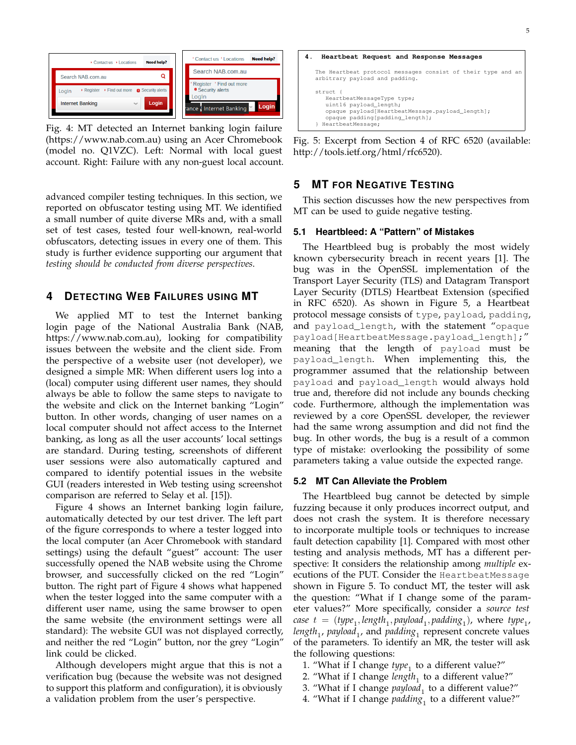

Fig. 4: MT detected an Internet banking login failure (https://www.nab.com.au) using an Acer Chromebook (model no. Q1VZC). Left: Normal with local guest account. Right: Failure with any non-guest local account.

advanced compiler testing techniques. In this section, we reported on obfuscator testing using MT. We identified a small number of quite diverse MRs and, with a small set of test cases, tested four well-known, real-world obfuscators, detecting issues in every one of them. This study is further evidence supporting our argument that *testing should be conducted from diverse perspectives*.

# **4 DETECTING WEB FAILURES USING MT**

We applied MT to test the Internet banking login page of the National Australia Bank (NAB, https://www.nab.com.au), looking for compatibility issues between the website and the client side. From the perspective of a website user (not developer), we designed a simple MR: When different users log into a (local) computer using different user names, they should always be able to follow the same steps to navigate to the website and click on the Internet banking "Login" button. In other words, changing of user names on a local computer should not affect access to the Internet banking, as long as all the user accounts' local settings are standard. During testing, screenshots of different user sessions were also automatically captured and compared to identify potential issues in the website GUI (readers interested in Web testing using screenshot comparison are referred to Selay et al. [15]).

Figure 4 shows an Internet banking login failure, automatically detected by our test driver. The left part of the figure corresponds to where a tester logged into the local computer (an Acer Chromebook with standard settings) using the default "guest" account: The user successfully opened the NAB website using the Chrome browser, and successfully clicked on the red "Login" button. The right part of Figure 4 shows what happened when the tester logged into the same computer with a different user name, using the same browser to open the same website (the environment settings were all standard): The website GUI was not displayed correctly, and neither the red "Login" button, nor the grey "Login" link could be clicked.

Although developers might argue that this is not a verification bug (because the website was not designed to support this platform and configuration), it is obviously a validation problem from the user's perspective.



Fig. 5: Excerpt from Section 4 of RFC 6520 (available: http://tools.ietf.org/html/rfc6520).

# **5 MT FOR NEGATIVE TESTING**

This section discusses how the new perspectives from MT can be used to guide negative testing.

## **5.1 Heartbleed: A "Pattern" of Mistakes**

The Heartbleed bug is probably the most widely known cybersecurity breach in recent years [1]. The bug was in the OpenSSL implementation of the Transport Layer Security (TLS) and Datagram Transport Layer Security (DTLS) Heartbeat Extension (specified in RFC 6520). As shown in Figure 5, a Heartbeat protocol message consists of type, payload, padding, and payload\_length, with the statement "opaque payload[HeartbeatMessage.payload\_length];" meaning that the length of payload must be payload\_length. When implementing this, the programmer assumed that the relationship between payload and payload\_length would always hold true and, therefore did not include any bounds checking code. Furthermore, although the implementation was reviewed by a core OpenSSL developer, the reviewer had the same wrong assumption and did not find the bug. In other words, the bug is a result of a common type of mistake: overlooking the possibility of some parameters taking a value outside the expected range.

#### **5.2 MT Can Alleviate the Problem**

The Heartbleed bug cannot be detected by simple fuzzing because it only produces incorrect output, and does not crash the system. It is therefore necessary to incorporate multiple tools or techniques to increase fault detection capability [1]. Compared with most other testing and analysis methods, MT has a different perspective: It considers the relationship among *multiple* executions of the PUT. Consider the HeartbeatMessage shown in Figure 5. To conduct MT, the tester will ask the question: "What if I change some of the parameter values?" More specifically, consider a *source test case*  $t = (type_1, length_1, payload_1, padding_1), where type_1,$ *length*<sub>1</sub>, *payload*<sub>1</sub>, and *padding*<sub>1</sub> represent concrete values of the parameters. To identify an MR, the tester will ask the following questions:

- 1. "What if I change  $type_1$  to a different value?"
- 2. "What if I change *length*<sub>1</sub> to a different value?"
- 3. "What if I change *payload*<sub>1</sub> to a different value?"
- 4. "What if I change *padding*<sup>1</sup> to a different value?"